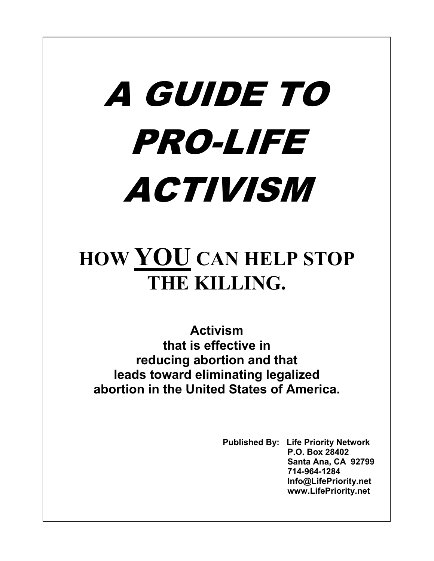# A GUIDE TO PRO-LIFE **ACTIVISM**

## **HOW YOU CAN HELP STOP THE KILLING.**

**Activism that is effective in reducing abortion and that leads toward eliminating legalized abortion in the United States of America.**

> **Published By: Life Priority Network P.O. Box 28402 Santa Ana, CA 92799 714-964-1284 Info@LifePriority.net www.LifePriority.net**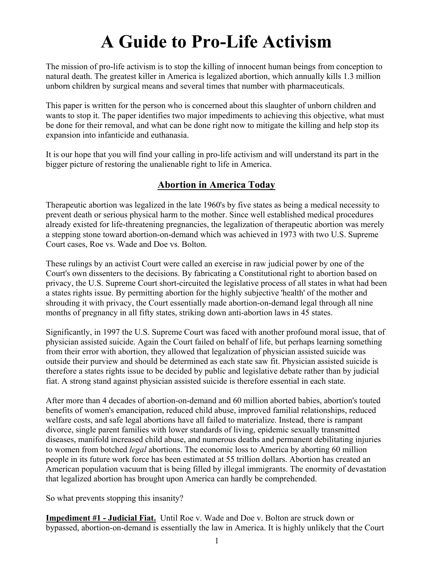### **A Guide to Pro-Life Activism**

The mission of pro-life activism is to stop the killing of innocent human beings from conception to natural death. The greatest killer in America is legalized abortion, which annually kills 1.3 million unborn children by surgical means and several times that number with pharmaceuticals.

This paper is written for the person who is concerned about this slaughter of unborn children and wants to stop it. The paper identifies two major impediments to achieving this objective, what must be done for their removal, and what can be done right now to mitigate the killing and help stop its expansion into infanticide and euthanasia.

It is our hope that you will find your calling in pro-life activism and will understand its part in the bigger picture of restoring the unalienable right to life in America.

#### **Abortion in America Today**

Therapeutic abortion was legalized in the late 1960's by five states as being a medical necessity to prevent death or serious physical harm to the mother. Since well established medical procedures already existed for life-threatening pregnancies, the legalization of therapeutic abortion was merely a stepping stone toward abortion-on-demand which was achieved in 1973 with two U.S. Supreme Court cases, Roe vs. Wade and Doe vs. Bolton.

These rulings by an activist Court were called an exercise in raw judicial power by one of the Court's own dissenters to the decisions. By fabricating a Constitutional right to abortion based on privacy, the U.S. Supreme Court short-circuited the legislative process of all states in what had been a states rights issue. By permitting abortion for the highly subjective 'health' of the mother and shrouding it with privacy, the Court essentially made abortion-on-demand legal through all nine months of pregnancy in all fifty states, striking down anti-abortion laws in 45 states.

Significantly, in 1997 the U.S. Supreme Court was faced with another profound moral issue, that of physician assisted suicide. Again the Court failed on behalf of life, but perhaps learning something from their error with abortion, they allowed that legalization of physician assisted suicide was outside their purview and should be determined as each state saw fit. Physician assisted suicide is therefore a states rights issue to be decided by public and legislative debate rather than by judicial fiat. A strong stand against physician assisted suicide is therefore essential in each state.

After more than 4 decades of abortion-on-demand and 60 million aborted babies, abortion's touted benefits of women's emancipation, reduced child abuse, improved familial relationships, reduced welfare costs, and safe legal abortions have all failed to materialize. Instead, there is rampant divorce, single parent families with lower standards of living, epidemic sexually transmitted diseases, manifold increased child abuse, and numerous deaths and permanent debilitating injuries to women from botched *legal* abortions. The economic loss to America by aborting 60 million people in its future work force has been estimated at 55 trillion dollars. Abortion has created an American population vacuum that is being filled by illegal immigrants. The enormity of devastation that legalized abortion has brought upon America can hardly be comprehended.

So what prevents stopping this insanity?

**Impediment #1 - Judicial Fiat.** Until Roe v. Wade and Doe v. Bolton are struck down or bypassed, abortion-on-demand is essentially the law in America. It is highly unlikely that the Court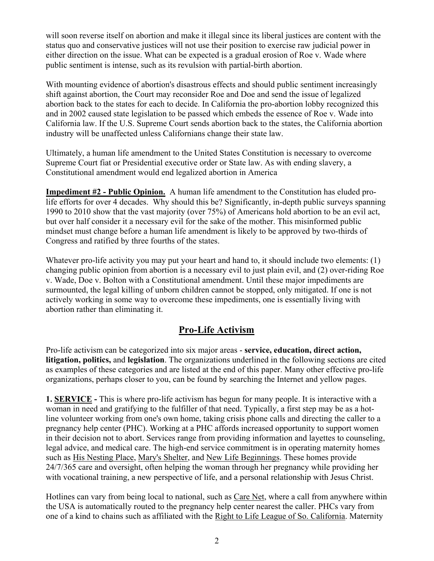will soon reverse itself on abortion and make it illegal since its liberal justices are content with the status quo and conservative justices will not use their position to exercise raw judicial power in either direction on the issue. What can be expected is a gradual erosion of Roe v. Wade where public sentiment is intense, such as its revulsion with partial-birth abortion.

With mounting evidence of abortion's disastrous effects and should public sentiment increasingly shift against abortion, the Court may reconsider Roe and Doe and send the issue of legalized abortion back to the states for each to decide. In California the pro-abortion lobby recognized this and in 2002 caused state legislation to be passed which embeds the essence of Roe v. Wade into California law. If the U.S. Supreme Court sends abortion back to the states, the California abortion industry will be unaffected unless Californians change their state law.

Ultimately, a human life amendment to the United States Constitution is necessary to overcome Supreme Court fiat or Presidential executive order or State law. As with ending slavery, a Constitutional amendment would end legalized abortion in America

**Impediment #2 - Public Opinion.** A human life amendment to the Constitution has eluded prolife efforts for over 4 decades. Why should this be? Significantly, in-depth public surveys spanning 1990 to 2010 show that the vast majority (over 75%) of Americans hold abortion to be an evil act, but over half consider it a necessary evil for the sake of the mother. This misinformed public mindset must change before a human life amendment is likely to be approved by two-thirds of Congress and ratified by three fourths of the states.

Whatever pro-life activity you may put your heart and hand to, it should include two elements: (1) changing public opinion from abortion is a necessary evil to just plain evil, and (2) over-riding Roe v. Wade, Doe v. Bolton with a Constitutional amendment. Until these major impediments are surmounted, the legal killing of unborn children cannot be stopped, only mitigated. If one is not actively working in some way to overcome these impediments, one is essentially living with abortion rather than eliminating it.

#### **Pro-Life Activism**

Pro-life activism can be categorized into six major areas - **service, education, direct action, litigation, politics,** and **legislation**. The organizations underlined in the following sections are cited as examples of these categories and are listed at the end of this paper. Many other effective pro-life organizations, perhaps closer to you, can be found by searching the Internet and yellow pages.

**1. SERVICE -** This is where pro-life activism has begun for many people. It is interactive with a woman in need and gratifying to the fulfiller of that need. Typically, a first step may be as a hotline volunteer working from one's own home, taking crisis phone calls and directing the caller to a pregnancy help center (PHC). Working at a PHC affords increased opportunity to support women in their decision not to abort. Services range from providing information and layettes to counseling, legal advice, and medical care. The high-end service commitment is in operating maternity homes such as His Nesting Place, Mary's Shelter, and New Life Beginnings. These homes provide 24/7/365 care and oversight, often helping the woman through her pregnancy while providing her with vocational training, a new perspective of life, and a personal relationship with Jesus Christ.

Hotlines can vary from being local to national, such as Care Net, where a call from anywhere within the USA is automatically routed to the pregnancy help center nearest the caller. PHCs vary from one of a kind to chains such as affiliated with the Right to Life League of So. California. Maternity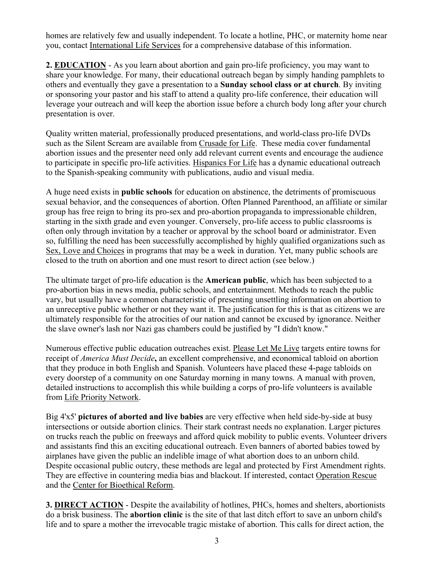homes are relatively few and usually independent. To locate a hotline, PHC, or maternity home near you, contact International Life Services for a comprehensive database of this information.

**2. EDUCATION** - As you learn about abortion and gain pro-life proficiency, you may want to share your knowledge. For many, their educational outreach began by simply handing pamphlets to others and eventually they gave a presentation to a **Sunday school class or at church**. By inviting or sponsoring your pastor and his staff to attend a quality pro-life conference, their education will leverage your outreach and will keep the abortion issue before a church body long after your church presentation is over.

Quality written material, professionally produced presentations, and world-class pro-life DVDs such as the Silent Scream are available from Crusade for Life. These media cover fundamental abortion issues and the presenter need only add relevant current events and encourage the audience to participate in specific pro-life activities. Hispanics For Life has a dynamic educational outreach to the Spanish-speaking community with publications, audio and visual media.

A huge need exists in **public schools** for education on abstinence, the detriments of promiscuous sexual behavior, and the consequences of abortion. Often Planned Parenthood, an affiliate or similar group has free reign to bring its pro-sex and pro-abortion propaganda to impressionable children, starting in the sixth grade and even younger. Conversely, pro-life access to public classrooms is often only through invitation by a teacher or approval by the school board or administrator. Even so, fulfilling the need has been successfully accomplished by highly qualified organizations such as Sex, Love and Choices in programs that may be a week in duration. Yet, many public schools are closed to the truth on abortion and one must resort to direct action (see below.)

The ultimate target of pro-life education is the **American public**, which has been subjected to a pro-abortion bias in news media, public schools, and entertainment. Methods to reach the public vary, but usually have a common characteristic of presenting unsettling information on abortion to an unreceptive public whether or not they want it. The justification for this is that as citizens we are ultimately responsible for the atrocities of our nation and cannot be excused by ignorance. Neither the slave owner's lash nor Nazi gas chambers could be justified by "I didn't know."

Numerous effective public education outreaches exist. Please Let Me Live targets entire towns for receipt of *America Must Decide***,** an excellent comprehensive, and economical tabloid on abortion that they produce in both English and Spanish. Volunteers have placed these 4-page tabloids on every doorstep of a community on one Saturday morning in many towns. A manual with proven, detailed instructions to accomplish this while building a corps of pro-life volunteers is available from Life Priority Network.

Big 4'x5' **pictures of aborted and live babies** are very effective when held side-by-side at busy intersections or outside abortion clinics. Their stark contrast needs no explanation. Larger pictures on trucks reach the public on freeways and afford quick mobility to public events. Volunteer drivers and assistants find this an exciting educational outreach. Even banners of aborted babies towed by airplanes have given the public an indelible image of what abortion does to an unborn child. Despite occasional public outcry, these methods are legal and protected by First Amendment rights. They are effective in countering media bias and blackout. If interested, contact Operation Rescue and the Center for Bioethical Reform.

**3. DIRECT ACTION** - Despite the availability of hotlines, PHCs, homes and shelters, abortionists do a brisk business. The **abortion clinic** is the site of that last ditch effort to save an unborn child's life and to spare a mother the irrevocable tragic mistake of abortion. This calls for direct action, the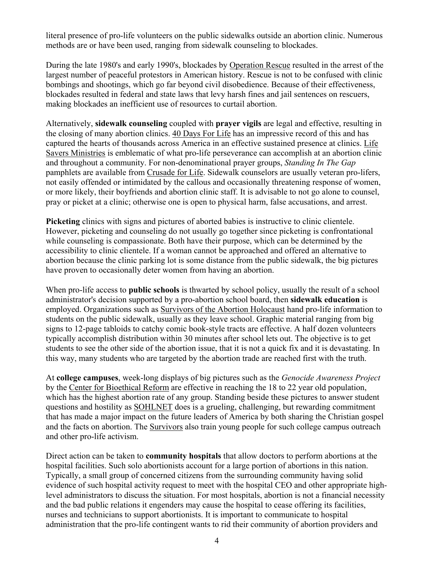literal presence of pro-life volunteers on the public sidewalks outside an abortion clinic. Numerous methods are or have been used, ranging from sidewalk counseling to blockades.

During the late 1980's and early 1990's, blockades by Operation Rescue resulted in the arrest of the largest number of peaceful protestors in American history. Rescue is not to be confused with clinic bombings and shootings, which go far beyond civil disobedience. Because of their effectiveness, blockades resulted in federal and state laws that levy harsh fines and jail sentences on rescuers, making blockades an inefficient use of resources to curtail abortion.

Alternatively, **sidewalk counseling** coupled with **prayer vigils** are legal and effective, resulting in the closing of many abortion clinics. 40 Days For Life has an impressive record of this and has captured the hearts of thousands across America in an effective sustained presence at clinics. Life Savers Ministries is emblematic of what pro-life perseverance can accomplish at an abortion clinic and throughout a community. For non-denominational prayer groups, *Standing In The Gap* pamphlets are available from Crusade for Life. Sidewalk counselors are usually veteran pro-lifers. not easily offended or intimidated by the callous and occasionally threatening response of women, or more likely, their boyfriends and abortion clinic staff. It is advisable to not go alone to counsel, pray or picket at a clinic; otherwise one is open to physical harm, false accusations, and arrest.

**Picketing** clinics with signs and pictures of aborted babies is instructive to clinic clientele. However, picketing and counseling do not usually go together since picketing is confrontational while counseling is compassionate. Both have their purpose, which can be determined by the accessibility to clinic clientele. If a woman cannot be approached and offered an alternative to abortion because the clinic parking lot is some distance from the public sidewalk, the big pictures have proven to occasionally deter women from having an abortion.

When pro-life access to **public schools** is thwarted by school policy, usually the result of a school administrator's decision supported by a pro-abortion school board, then **sidewalk education** is employed. Organizations such as Survivors of the Abortion Holocaust hand pro-life information to students on the public sidewalk, usually as they leave school. Graphic material ranging from big signs to 12-page tabloids to catchy comic book-style tracts are effective. A half dozen volunteers typically accomplish distribution within 30 minutes after school lets out. The objective is to get students to see the other side of the abortion issue, that it is not a quick fix and it is devastating. In this way, many students who are targeted by the abortion trade are reached first with the truth.

At **college campuses**, week-long displays of big pictures such as the *Genocide Awareness Project* by the Center for Bioethical Reform are effective in reaching the 18 to 22 year old population, which has the highest abortion rate of any group. Standing beside these pictures to answer student questions and hostility as SOHLNET does is a grueling, challenging, but rewarding commitment that has made a major impact on the future leaders of America by both sharing the Christian gospel and the facts on abortion. The Survivors also train young people for such college campus outreach and other pro-life activism.

Direct action can be taken to **community hospitals** that allow doctors to perform abortions at the hospital facilities. Such solo abortionists account for a large portion of abortions in this nation. Typically, a small group of concerned citizens from the surrounding community having solid evidence of such hospital activity request to meet with the hospital CEO and other appropriate highlevel administrators to discuss the situation. For most hospitals, abortion is not a financial necessity and the bad public relations it engenders may cause the hospital to cease offering its facilities, nurses and technicians to support abortionists. It is important to communicate to hospital administration that the pro-life contingent wants to rid their community of abortion providers and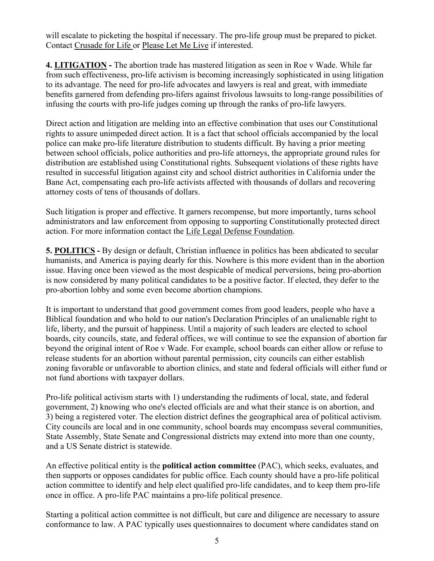will escalate to picketing the hospital if necessary. The pro-life group must be prepared to picket. Contact Crusade for Life or Please Let Me Live if interested.

**4. LITIGATION -** The abortion trade has mastered litigation as seen in Roe v Wade. While far from such effectiveness, pro-life activism is becoming increasingly sophisticated in using litigation to its advantage. The need for pro-life advocates and lawyers is real and great, with immediate benefits garnered from defending pro-lifers against frivolous lawsuits to long-range possibilities of infusing the courts with pro-life judges coming up through the ranks of pro-life lawyers.

Direct action and litigation are melding into an effective combination that uses our Constitutional rights to assure unimpeded direct action. It is a fact that school officials accompanied by the local police can make pro-life literature distribution to students difficult. By having a prior meeting between school officials, police authorities and pro-life attorneys, the appropriate ground rules for distribution are established using Constitutional rights. Subsequent violations of these rights have resulted in successful litigation against city and school district authorities in California under the Bane Act, compensating each pro-life activists affected with thousands of dollars and recovering attorney costs of tens of thousands of dollars.

Such litigation is proper and effective. It garners recompense, but more importantly, turns school administrators and law enforcement from opposing to supporting Constitutionally protected direct action. For more information contact the Life Legal Defense Foundation.

**5. POLITICS -** By design or default, Christian influence in politics has been abdicated to secular humanists, and America is paying dearly for this. Nowhere is this more evident than in the abortion issue. Having once been viewed as the most despicable of medical perversions, being pro-abortion is now considered by many political candidates to be a positive factor. If elected, they defer to the pro-abortion lobby and some even become abortion champions.

It is important to understand that good government comes from good leaders, people who have a Biblical foundation and who hold to our nation's Declaration Principles of an unalienable right to life, liberty, and the pursuit of happiness. Until a majority of such leaders are elected to school boards, city councils, state, and federal offices, we will continue to see the expansion of abortion far beyond the original intent of Roe v Wade. For example, school boards can either allow or refuse to release students for an abortion without parental permission, city councils can either establish zoning favorable or unfavorable to abortion clinics, and state and federal officials will either fund or not fund abortions with taxpayer dollars.

Pro-life political activism starts with 1) understanding the rudiments of local, state, and federal government, 2) knowing who one's elected officials are and what their stance is on abortion, and 3) being a registered voter. The election district defines the geographical area of political activism. City councils are local and in one community, school boards may encompass several communities, State Assembly, State Senate and Congressional districts may extend into more than one county, and a US Senate district is statewide.

An effective political entity is the **political action committee** (PAC), which seeks, evaluates, and then supports or opposes candidates for public office. Each county should have a pro-life political action committee to identify and help elect qualified pro-life candidates, and to keep them pro-life once in office. A pro-life PAC maintains a pro-life political presence.

Starting a political action committee is not difficult, but care and diligence are necessary to assure conformance to law. A PAC typically uses questionnaires to document where candidates stand on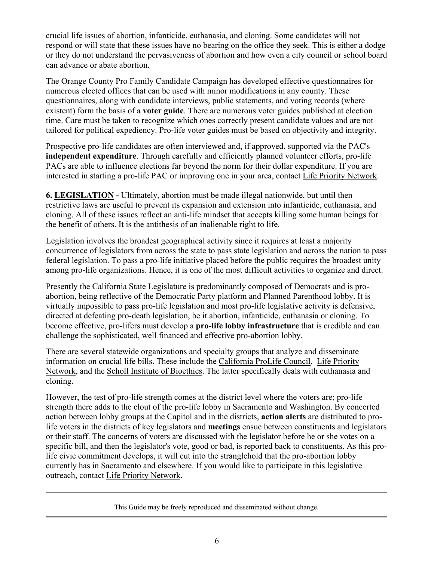crucial life issues of abortion, infanticide, euthanasia, and cloning. Some candidates will not respond or will state that these issues have no bearing on the office they seek. This is either a dodge or they do not understand the pervasiveness of abortion and how even a city council or school board can advance or abate abortion.

The Orange County Pro Family Candidate Campaign has developed effective questionnaires for numerous elected offices that can be used with minor modifications in any county. These questionnaires, along with candidate interviews, public statements, and voting records (where existent) form the basis of a **voter guide**. There are numerous voter guides published at election time. Care must be taken to recognize which ones correctly present candidate values and are not tailored for political expediency. Pro-life voter guides must be based on objectivity and integrity.

Prospective pro-life candidates are often interviewed and, if approved, supported via the PAC's **independent expenditure**. Through carefully and efficiently planned volunteer efforts, pro-life PACs are able to influence elections far beyond the norm for their dollar expenditure. If you are interested in starting a pro-life PAC or improving one in your area, contact Life Priority Network.

**6. LEGISLATION -** Ultimately, abortion must be made illegal nationwide, but until then restrictive laws are useful to prevent its expansion and extension into infanticide, euthanasia, and cloning. All of these issues reflect an anti-life mindset that accepts killing some human beings for the benefit of others. It is the antithesis of an inalienable right to life.

Legislation involves the broadest geographical activity since it requires at least a majority concurrence of legislators from across the state to pass state legislation and across the nation to pass federal legislation. To pass a pro-life initiative placed before the public requires the broadest unity among pro-life organizations. Hence, it is one of the most difficult activities to organize and direct.

Presently the California State Legislature is predominantly composed of Democrats and is proabortion, being reflective of the Democratic Party platform and Planned Parenthood lobby. It is virtually impossible to pass pro-life legislation and most pro-life legislative activity is defensive, directed at defeating pro-death legislation, be it abortion, infanticide, euthanasia or cloning. To become effective, pro-lifers must develop a **pro-life lobby infrastructure** that is credible and can challenge the sophisticated, well financed and effective pro-abortion lobby.

There are several statewide organizations and specialty groups that analyze and disseminate information on crucial life bills. These include the California ProLife Council, Life Priority Network, and the Scholl Institute of Bioethics. The latter specifically deals with euthanasia and cloning.

However, the test of pro-life strength comes at the district level where the voters are; pro-life strength there adds to the clout of the pro-life lobby in Sacramento and Washington. By concerted action between lobby groups at the Capitol and in the districts, **action alerts** are distributed to prolife voters in the districts of key legislators and **meetings** ensue between constituents and legislators or their staff. The concerns of voters are discussed with the legislator before he or she votes on a specific bill, and then the legislator's vote, good or bad, is reported back to constituents. As this prolife civic commitment develops, it will cut into the stranglehold that the pro-abortion lobby currently has in Sacramento and elsewhere. If you would like to participate in this legislative outreach, contact Life Priority Network.

This Guide may be freely reproduced and disseminated without change.